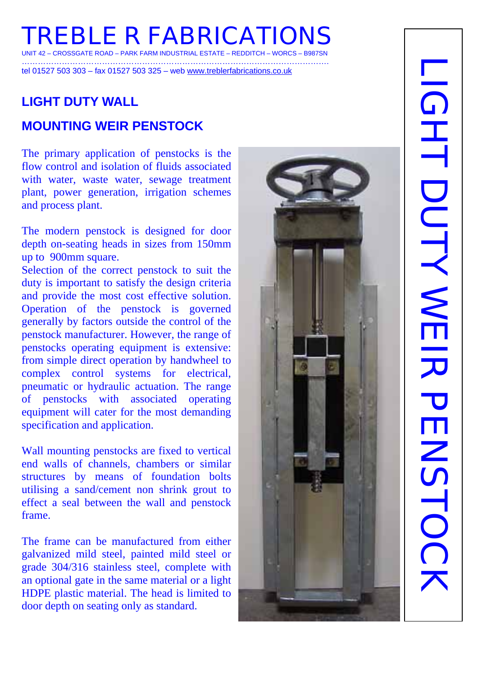# **TREBLE R FABRICATIONS**  UNIT 42 – CROSSGATE ROAD – PARK FARM INDUSTRIAL ESTATE – REDDITCH – WORCS – B987SN

…………………………………………………………………………………………………….

tel 01527 503 303 – fax 01527 503 325 – web www.treblerfabrications.co.uk

# **LIGHT DUTY WALL**

# **MOUNTING WEIR PENSTOCK**

The primary application of penstocks is the flow control and isolation of fluids associated with water, waste water, sewage treatment plant, power generation, irrigation schemes and process plant.

The modern penstock is designed for door depth on-seating heads in sizes from 150mm up to 900mm square.

Selection of the correct penstock to suit the duty is important to satisfy the design criteria and provide the most cost effective solution. Operation of the penstock is governed generally by factors outside the control of the penstock manufacturer. However, the range of penstocks operating equipment is extensive: from simple direct operation by handwheel to complex control systems for electrical, pneumatic or hydraulic actuation. The range of penstocks with associated operating equipment will cater for the most demanding specification and application.

Wall mounting penstocks are fixed to vertical end walls of channels, chambers or similar structures by means of foundation bolts utilising a sand/cement non shrink grout to effect a seal between the wall and penstock frame.

The frame can be manufactured from either galvanized mild steel, painted mild steel or grade 304/316 stainless steel, complete with an optional gate in the same material or a light HDPE plastic material. The head is limited to door depth on seating only as standard.

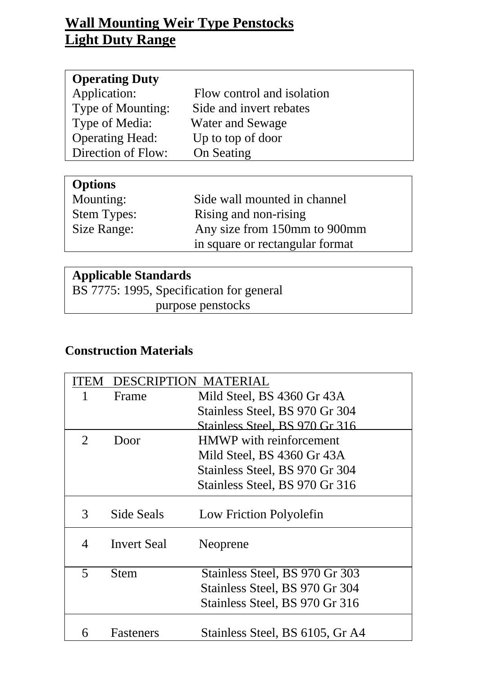# **Wall Mounting Weir Type Penstocks Light Duty Range**

| Flow control and isolation |
|----------------------------|
| Side and invert rebates    |
| <b>Water and Sewage</b>    |
| Up to top of door          |
| On Seating                 |
|                            |

| <b>Options</b>     |                                 |
|--------------------|---------------------------------|
| Mounting:          | Side wall mounted in channel    |
| <b>Stem Types:</b> | Rising and non-rising           |
| Size Range:        | Any size from 150mm to 900mm    |
|                    | in square or rectangular format |

#### **Applicable Standards**

BS 7775: 1995, Specification for general purpose penstocks

# **Construction Materials**

|                          | DESCRIPTION MATERIAL |                                 |
|--------------------------|----------------------|---------------------------------|
|                          | Frame                | Mild Steel, BS 4360 Gr 43A      |
|                          |                      | Stainless Steel, BS 970 Gr 304  |
|                          |                      | Stainless Steel, BS 970 Gr 316  |
| $\overline{2}$           | Door                 | <b>HMWP</b> with reinforcement  |
|                          |                      | Mild Steel, BS 4360 Gr 43A      |
|                          |                      | Stainless Steel, BS 970 Gr 304  |
|                          |                      | Stainless Steel, BS 970 Gr 316  |
| 3                        | Side Seals           | Low Friction Polyolefin         |
| $\overline{\mathcal{A}}$ | <b>Invert Seal</b>   | Neoprene                        |
| $\overline{\mathbf{5}}$  | Stem                 | Stainless Steel, BS 970 Gr 303  |
|                          |                      | Stainless Steel, BS 970 Gr 304  |
|                          |                      | Stainless Steel, BS 970 Gr 316  |
| 6                        | <b>Fasteners</b>     | Stainless Steel, BS 6105, Gr A4 |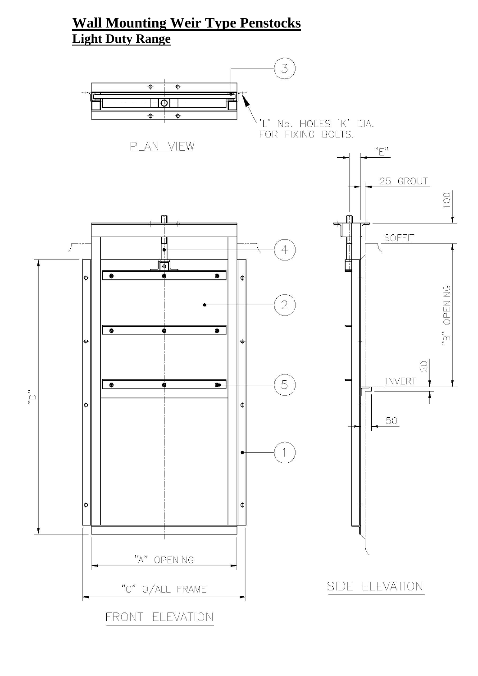# **Wall Mounting Weir Type Penstocks Light Duty Range**

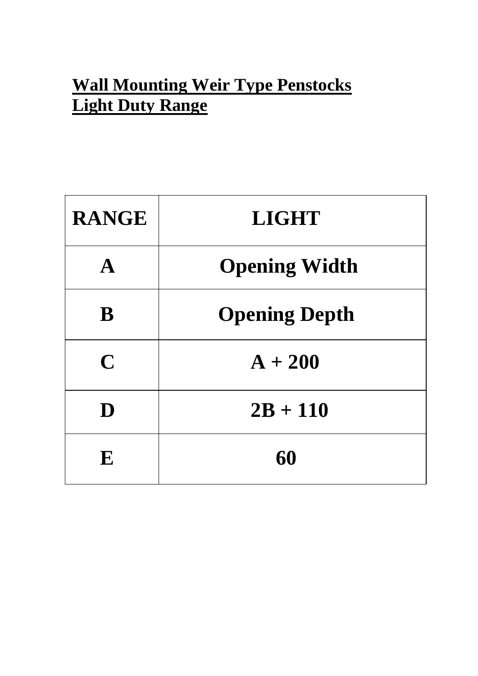# **Wall Mounting Weir Type Penstocks Light Duty Range**

| <b>RANGE</b> | <b>LIGHT</b>         |
|--------------|----------------------|
| A            | <b>Opening Width</b> |
| B            | <b>Opening Depth</b> |
| $\mathbf C$  | $A + 200$            |
| D            | $2B + 110$           |
| E            | 60                   |